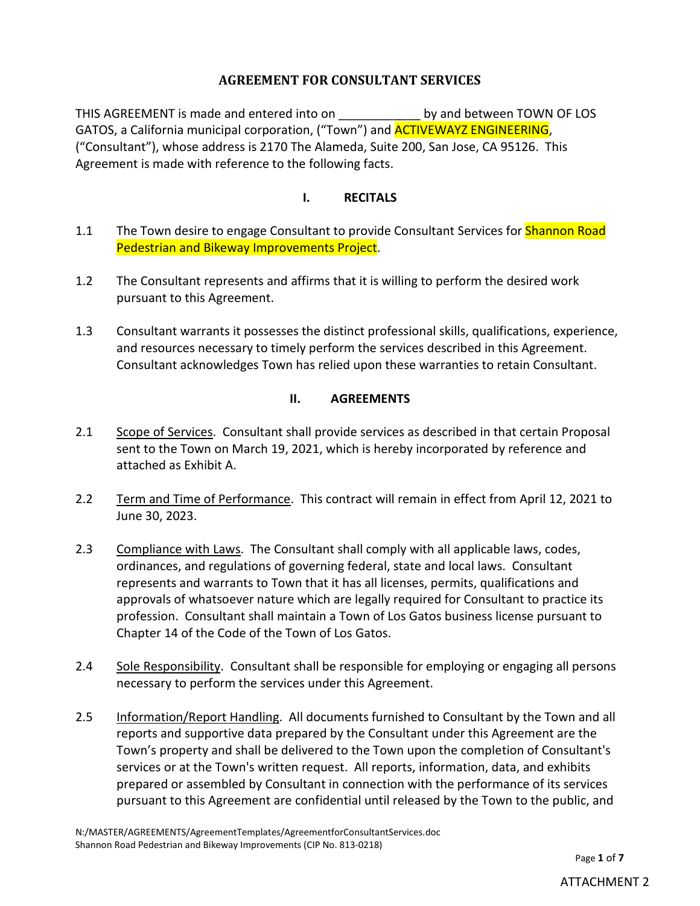# **AGREEMENT FOR CONSULTANT SERVICES**

THIS AGREEMENT is made and entered into on by and between TOWN OF LOS GATOS, a California municipal corporation, ("Town") and **ACTIVEWAYZ ENGINEERING**, ("Consultant"), whose address is 2170 The Alameda, Suite 200, San Jose, CA 95126. This Agreement is made with reference to the following facts.

#### **I. RECITALS**

- 1.1 The Town desire to engage Consultant to provide Consultant Services for **Shannon Road** Pedestrian and Bikeway Improvements Project.
- 1.2 The Consultant represents and affirms that it is willing to perform the desired work pursuant to this Agreement.
- 1.3 Consultant warrants it possesses the distinct professional skills, qualifications, experience, and resources necessary to timely perform the services described in this Agreement. Consultant acknowledges Town has relied upon these warranties to retain Consultant.

## **II. AGREEMENTS**

- 2.1 Scope of Services. Consultant shall provide services as described in that certain Proposal sent to the Town on March 19, 2021, which is hereby incorporated by reference and attached as Exhibit A.
- 2.2 Term and Time of Performance. This contract will remain in effect from April 12, 2021 to June 30, 2023.
- 2.3 Compliance with Laws. The Consultant shall comply with all applicable laws, codes, ordinances, and regulations of governing federal, state and local laws. Consultant represents and warrants to Town that it has all licenses, permits, qualifications and approvals of whatsoever nature which are legally required for Consultant to practice its profession. Consultant shall maintain a Town of Los Gatos business license pursuant to Chapter 14 of the Code of the Town of Los Gatos.
- 2.4 Sole Responsibility. Consultant shall be responsible for employing or engaging all persons necessary to perform the services under this Agreement.
- 2.5 Information/Report Handling. All documents furnished to Consultant by the Town and all reports and supportive data prepared by the Consultant under this Agreement are the Town's property and shall be delivered to the Town upon the completion of Consultant's services or at the Town's written request. All reports, information, data, and exhibits prepared or assembled by Consultant in connection with the performance of its services pursuant to this Agreement are confidential until released by the Town to the public, and

Page **1** of **7**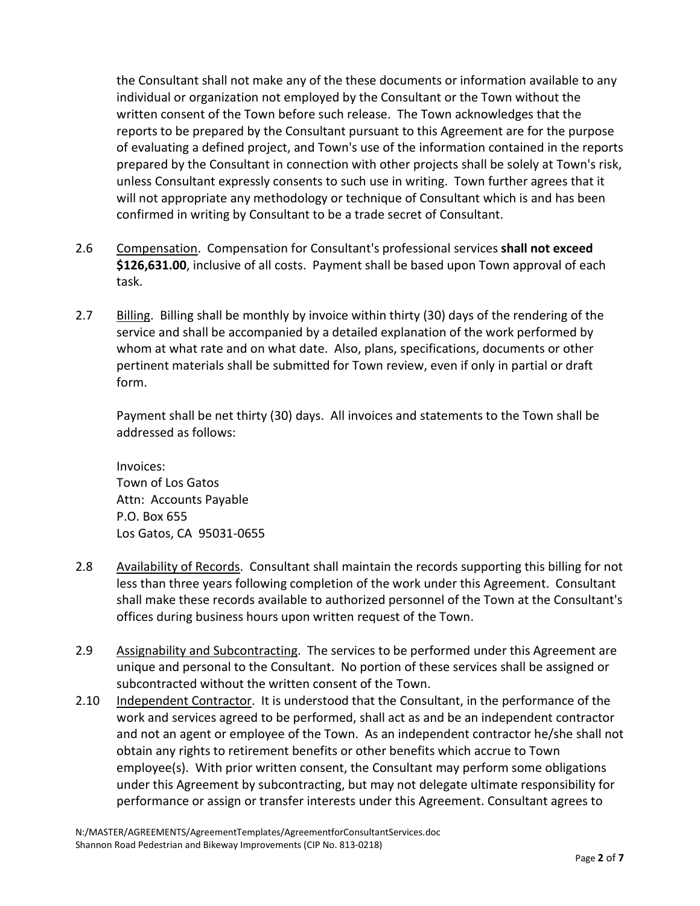the Consultant shall not make any of the these documents or information available to any individual or organization not employed by the Consultant or the Town without the written consent of the Town before such release. The Town acknowledges that the reports to be prepared by the Consultant pursuant to this Agreement are for the purpose of evaluating a defined project, and Town's use of the information contained in the reports prepared by the Consultant in connection with other projects shall be solely at Town's risk, unless Consultant expressly consents to such use in writing. Town further agrees that it will not appropriate any methodology or technique of Consultant which is and has been confirmed in writing by Consultant to be a trade secret of Consultant.

- 2.6 Compensation. Compensation for Consultant's professional services **shall not exceed \$126,631.00**, inclusive of all costs. Payment shall be based upon Town approval of each task.
- 2.7 Billing. Billing shall be monthly by invoice within thirty (30) days of the rendering of the service and shall be accompanied by a detailed explanation of the work performed by whom at what rate and on what date. Also, plans, specifications, documents or other pertinent materials shall be submitted for Town review, even if only in partial or draft form.

Payment shall be net thirty (30) days. All invoices and statements to the Town shall be addressed as follows:

Invoices: Town of Los Gatos Attn: Accounts Payable P.O. Box 655 Los Gatos, CA 95031-0655

- 2.8 Availability of Records. Consultant shall maintain the records supporting this billing for not less than three years following completion of the work under this Agreement. Consultant shall make these records available to authorized personnel of the Town at the Consultant's offices during business hours upon written request of the Town.
- 2.9 Assignability and Subcontracting. The services to be performed under this Agreement are unique and personal to the Consultant. No portion of these services shall be assigned or subcontracted without the written consent of the Town.
- 2.10 Independent Contractor. It is understood that the Consultant, in the performance of the work and services agreed to be performed, shall act as and be an independent contractor and not an agent or employee of the Town. As an independent contractor he/she shall not obtain any rights to retirement benefits or other benefits which accrue to Town employee(s). With prior written consent, the Consultant may perform some obligations under this Agreement by subcontracting, but may not delegate ultimate responsibility for performance or assign or transfer interests under this Agreement. Consultant agrees to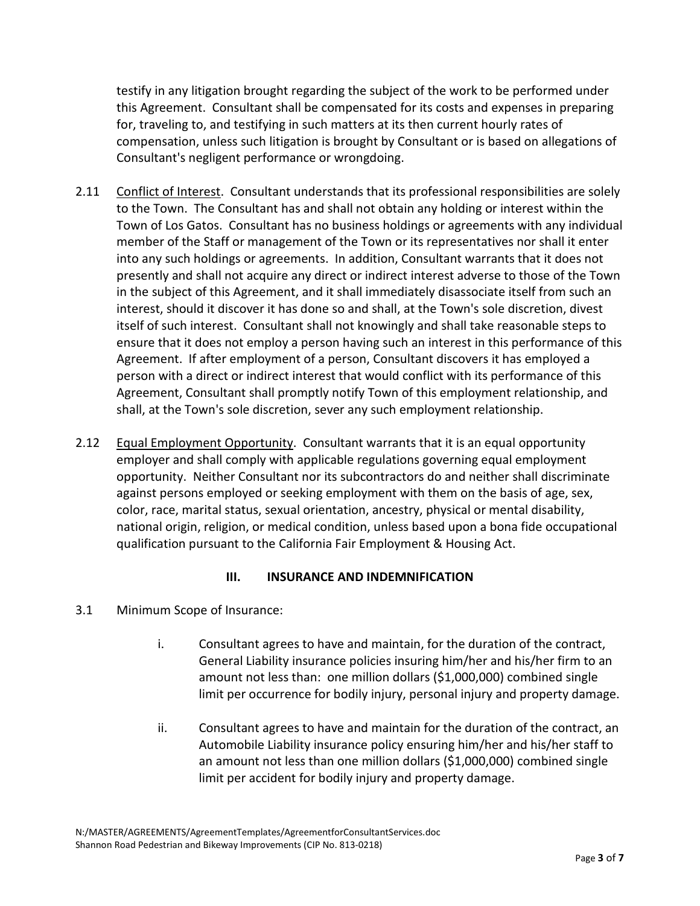testify in any litigation brought regarding the subject of the work to be performed under this Agreement. Consultant shall be compensated for its costs and expenses in preparing for, traveling to, and testifying in such matters at its then current hourly rates of compensation, unless such litigation is brought by Consultant or is based on allegations of Consultant's negligent performance or wrongdoing.

- 2.11 Conflict of Interest. Consultant understands that its professional responsibilities are solely to the Town. The Consultant has and shall not obtain any holding or interest within the Town of Los Gatos. Consultant has no business holdings or agreements with any individual member of the Staff or management of the Town or its representatives nor shall it enter into any such holdings or agreements. In addition, Consultant warrants that it does not presently and shall not acquire any direct or indirect interest adverse to those of the Town in the subject of this Agreement, and it shall immediately disassociate itself from such an interest, should it discover it has done so and shall, at the Town's sole discretion, divest itself of such interest. Consultant shall not knowingly and shall take reasonable steps to ensure that it does not employ a person having such an interest in this performance of this Agreement. If after employment of a person, Consultant discovers it has employed a person with a direct or indirect interest that would conflict with its performance of this Agreement, Consultant shall promptly notify Town of this employment relationship, and shall, at the Town's sole discretion, sever any such employment relationship.
- 2.12 Equal Employment Opportunity. Consultant warrants that it is an equal opportunity employer and shall comply with applicable regulations governing equal employment opportunity. Neither Consultant nor its subcontractors do and neither shall discriminate against persons employed or seeking employment with them on the basis of age, sex, color, race, marital status, sexual orientation, ancestry, physical or mental disability, national origin, religion, or medical condition, unless based upon a bona fide occupational qualification pursuant to the California Fair Employment & Housing Act.

## **III. INSURANCE AND INDEMNIFICATION**

- 3.1 Minimum Scope of Insurance:
	- i. Consultant agrees to have and maintain, for the duration of the contract, General Liability insurance policies insuring him/her and his/her firm to an amount not less than: one million dollars (\$1,000,000) combined single limit per occurrence for bodily injury, personal injury and property damage.
	- ii. Consultant agrees to have and maintain for the duration of the contract, an Automobile Liability insurance policy ensuring him/her and his/her staff to an amount not less than one million dollars (\$1,000,000) combined single limit per accident for bodily injury and property damage.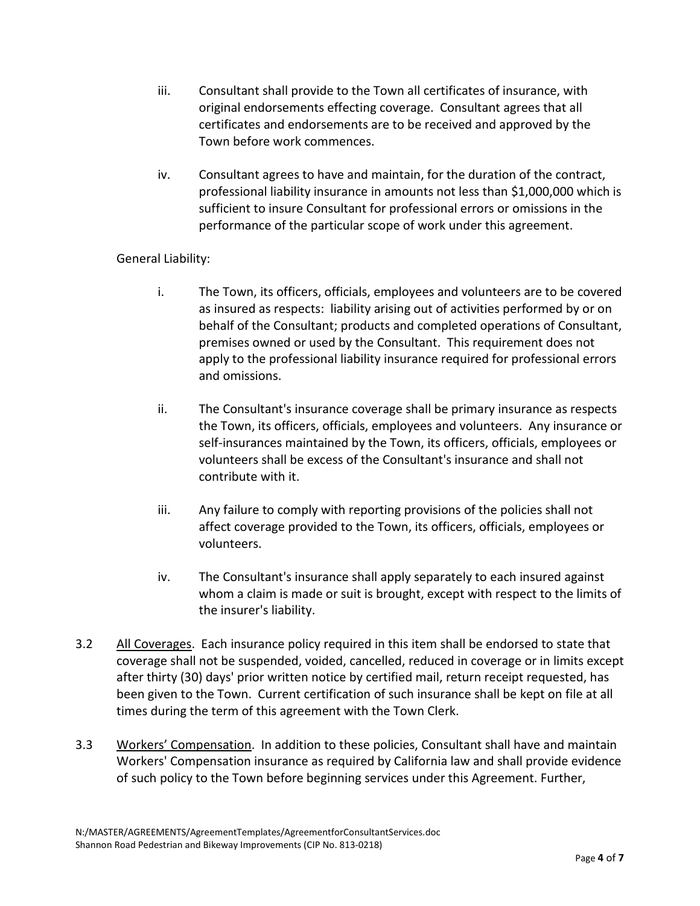- iii. Consultant shall provide to the Town all certificates of insurance, with original endorsements effecting coverage. Consultant agrees that all certificates and endorsements are to be received and approved by the Town before work commences.
- iv. Consultant agrees to have and maintain, for the duration of the contract, professional liability insurance in amounts not less than \$1,000,000 which is sufficient to insure Consultant for professional errors or omissions in the performance of the particular scope of work under this agreement.

## General Liability:

- i. The Town, its officers, officials, employees and volunteers are to be covered as insured as respects: liability arising out of activities performed by or on behalf of the Consultant; products and completed operations of Consultant, premises owned or used by the Consultant. This requirement does not apply to the professional liability insurance required for professional errors and omissions.
- ii. The Consultant's insurance coverage shall be primary insurance as respects the Town, its officers, officials, employees and volunteers. Any insurance or self-insurances maintained by the Town, its officers, officials, employees or volunteers shall be excess of the Consultant's insurance and shall not contribute with it.
- iii. Any failure to comply with reporting provisions of the policies shall not affect coverage provided to the Town, its officers, officials, employees or volunteers.
- iv. The Consultant's insurance shall apply separately to each insured against whom a claim is made or suit is brought, except with respect to the limits of the insurer's liability.
- 3.2 All Coverages. Each insurance policy required in this item shall be endorsed to state that coverage shall not be suspended, voided, cancelled, reduced in coverage or in limits except after thirty (30) days' prior written notice by certified mail, return receipt requested, has been given to the Town. Current certification of such insurance shall be kept on file at all times during the term of this agreement with the Town Clerk.
- 3.3 Workers' Compensation. In addition to these policies, Consultant shall have and maintain Workers' Compensation insurance as required by California law and shall provide evidence of such policy to the Town before beginning services under this Agreement. Further,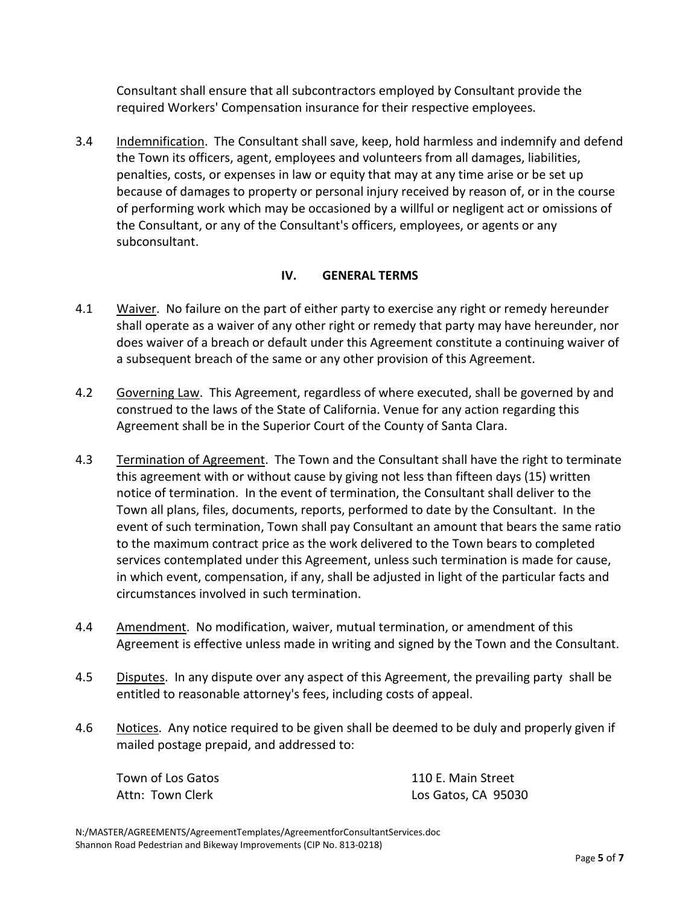Consultant shall ensure that all subcontractors employed by Consultant provide the required Workers' Compensation insurance for their respective employees.

3.4 Indemnification. The Consultant shall save, keep, hold harmless and indemnify and defend the Town its officers, agent, employees and volunteers from all damages, liabilities, penalties, costs, or expenses in law or equity that may at any time arise or be set up because of damages to property or personal injury received by reason of, or in the course of performing work which may be occasioned by a willful or negligent act or omissions of the Consultant, or any of the Consultant's officers, employees, or agents or any subconsultant.

#### **IV. GENERAL TERMS**

- 4.1 Waiver. No failure on the part of either party to exercise any right or remedy hereunder shall operate as a waiver of any other right or remedy that party may have hereunder, nor does waiver of a breach or default under this Agreement constitute a continuing waiver of a subsequent breach of the same or any other provision of this Agreement.
- 4.2 Governing Law. This Agreement, regardless of where executed, shall be governed by and construed to the laws of the State of California. Venue for any action regarding this Agreement shall be in the Superior Court of the County of Santa Clara.
- 4.3 Termination of Agreement. The Town and the Consultant shall have the right to terminate this agreement with or without cause by giving not less than fifteen days (15) written notice of termination. In the event of termination, the Consultant shall deliver to the Town all plans, files, documents, reports, performed to date by the Consultant. In the event of such termination, Town shall pay Consultant an amount that bears the same ratio to the maximum contract price as the work delivered to the Town bears to completed services contemplated under this Agreement, unless such termination is made for cause, in which event, compensation, if any, shall be adjusted in light of the particular facts and circumstances involved in such termination.
- 4.4 Amendment. No modification, waiver, mutual termination, or amendment of this Agreement is effective unless made in writing and signed by the Town and the Consultant.
- 4.5 Disputes. In any dispute over any aspect of this Agreement, the prevailing party shall be entitled to reasonable attorney's fees, including costs of appeal.
- 4.6 Notices. Any notice required to be given shall be deemed to be duly and properly given if mailed postage prepaid, and addressed to:

Town of Los Gatos Attn: Town Clerk

110 E. Main Street Los Gatos, CA 95030

N:/MASTER/AGREEMENTS/AgreementTemplates/AgreementforConsultantServices.doc Shannon Road Pedestrian and Bikeway Improvements (CIP No. 813-0218)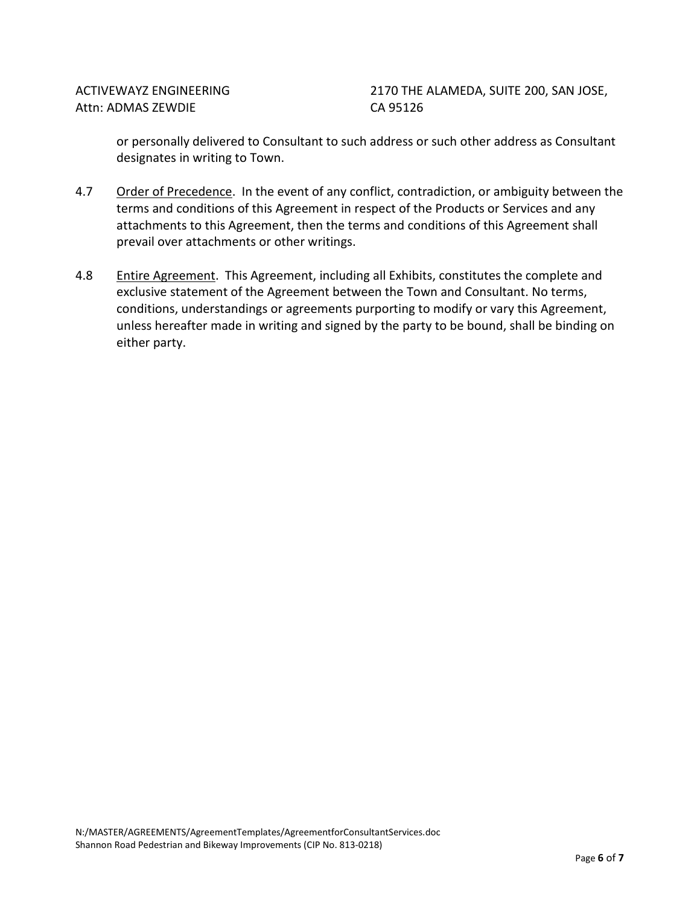2170 THE ALAMEDA, SUITE 200, SAN JOSE, CA 95126

or personally delivered to Consultant to such address or such other address as Consultant designates in writing to Town.

- 4.7 Order of Precedence. In the event of any conflict, contradiction, or ambiguity between the terms and conditions of this Agreement in respect of the Products or Services and any attachments to this Agreement, then the terms and conditions of this Agreement shall prevail over attachments or other writings.
- 4.8 Entire Agreement. This Agreement, including all Exhibits, constitutes the complete and exclusive statement of the Agreement between the Town and Consultant. No terms, conditions, understandings or agreements purporting to modify or vary this Agreement, unless hereafter made in writing and signed by the party to be bound, shall be binding on either party.